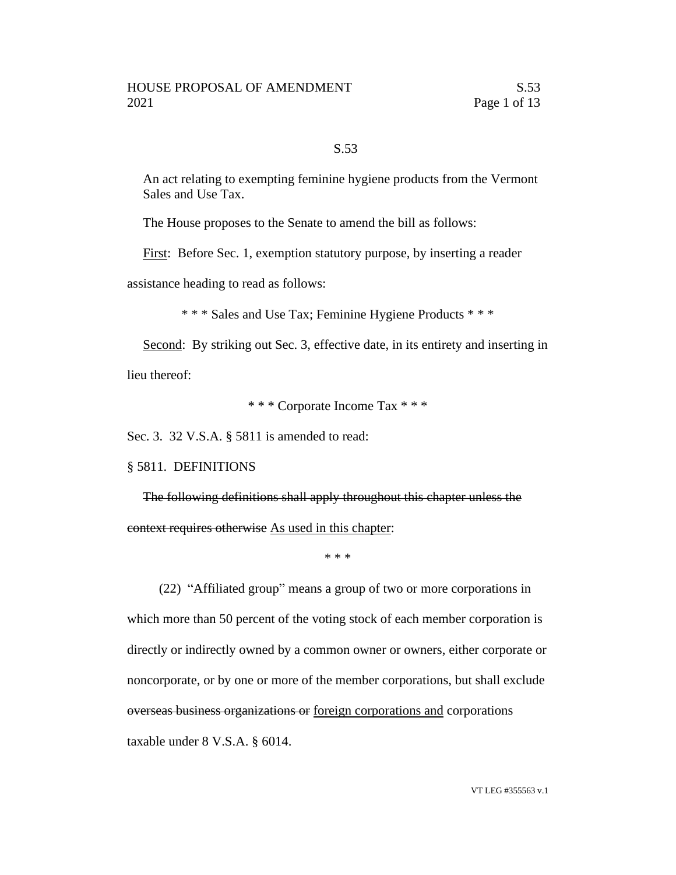## S.53

An act relating to exempting feminine hygiene products from the Vermont Sales and Use Tax.

The House proposes to the Senate to amend the bill as follows:

First: Before Sec. 1, exemption statutory purpose, by inserting a reader

assistance heading to read as follows:

\* \* \* Sales and Use Tax; Feminine Hygiene Products \* \* \*

Second: By striking out Sec. 3, effective date, in its entirety and inserting in

lieu thereof:

\* \* \* Corporate Income Tax \* \* \*

Sec. 3. 32 V.S.A. § 5811 is amended to read:

#### § 5811. DEFINITIONS

The following definitions shall apply throughout this chapter unless the context requires otherwise As used in this chapter:

\* \* \*

(22) "Affiliated group" means a group of two or more corporations in which more than 50 percent of the voting stock of each member corporation is directly or indirectly owned by a common owner or owners, either corporate or noncorporate, or by one or more of the member corporations, but shall exclude overseas business organizations or foreign corporations and corporations taxable under 8 V.S.A. § 6014.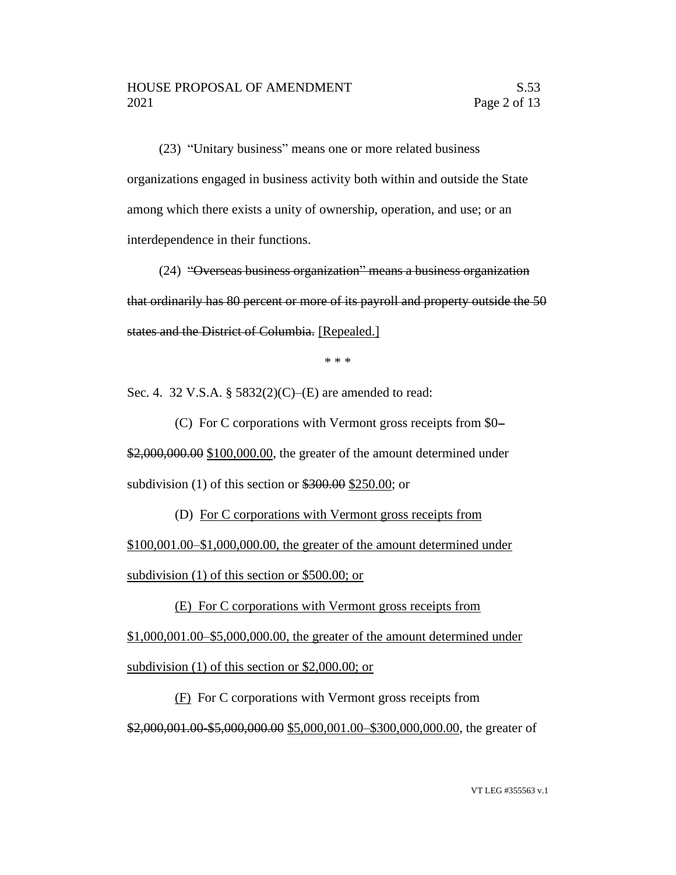(23) "Unitary business" means one or more related business organizations engaged in business activity both within and outside the State among which there exists a unity of ownership, operation, and use; or an interdependence in their functions.

(24) "Overseas business organization" means a business organization that ordinarily has 80 percent or more of its payroll and property outside the 50 states and the District of Columbia. [Repealed.]

\* \* \*

Sec. 4. 32 V.S.A. § 5832(2)(C)–(E) are amended to read:

(C) For C corporations with Vermont gross receipts from \$0– \$2,000,000.00 \$100,000.00, the greater of the amount determined under subdivision (1) of this section or  $$300.00$  \$250.00; or

(D) For C corporations with Vermont gross receipts from \$100,001.00–\$1,000,000.00, the greater of the amount determined under subdivision (1) of this section or \$500.00; or

(E) For C corporations with Vermont gross receipts from \$1,000,001.00–\$5,000,000.00, the greater of the amount determined under subdivision (1) of this section or \$2,000.00; or

(F) For C corporations with Vermont gross receipts from \$2,000,001.00-\$5,000,000.00 \$5,000,001.00-\$300,000,000.00, the greater of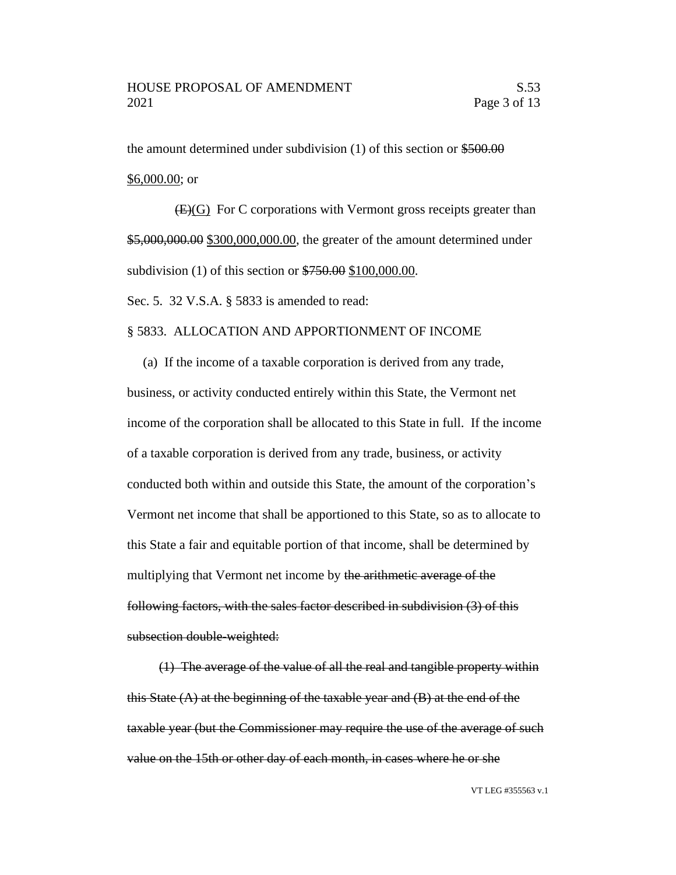the amount determined under subdivision (1) of this section or \$500.00 \$6,000.00; or

(E)(G) For C corporations with Vermont gross receipts greater than \$5,000,000.00 \$300,000,000.00, the greater of the amount determined under subdivision (1) of this section or \$750.00 \$100,000.00.

Sec. 5. 32 V.S.A. § 5833 is amended to read:

### § 5833. ALLOCATION AND APPORTIONMENT OF INCOME

(a) If the income of a taxable corporation is derived from any trade, business, or activity conducted entirely within this State, the Vermont net income of the corporation shall be allocated to this State in full. If the income of a taxable corporation is derived from any trade, business, or activity conducted both within and outside this State, the amount of the corporation's Vermont net income that shall be apportioned to this State, so as to allocate to this State a fair and equitable portion of that income, shall be determined by multiplying that Vermont net income by the arithmetic average of the following factors, with the sales factor described in subdivision (3) of this subsection double-weighted:

(1) The average of the value of all the real and tangible property within this State  $(A)$  at the beginning of the taxable year and  $(B)$  at the end of the taxable year (but the Commissioner may require the use of the average of such value on the 15th or other day of each month, in cases where he or she

VT LEG #355563 v.1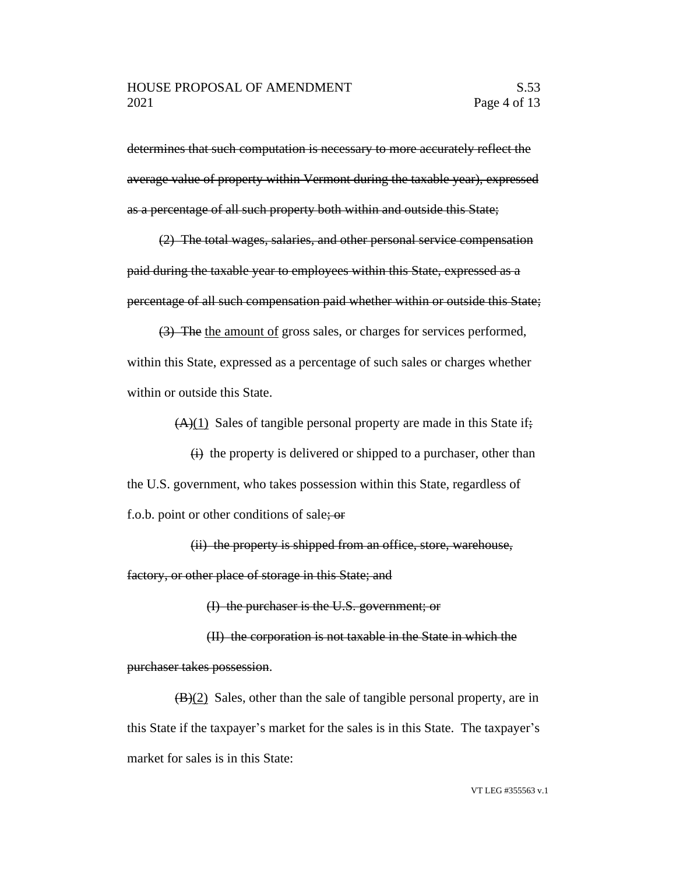determines that such computation is necessary to more accurately reflect the average value of property within Vermont during the taxable year), expressed as a percentage of all such property both within and outside this State;

(2) The total wages, salaries, and other personal service compensation paid during the taxable year to employees within this State, expressed as a percentage of all such compensation paid whether within or outside this State;

(3) The the amount of gross sales, or charges for services performed, within this State, expressed as a percentage of such sales or charges whether within or outside this State.

 $(A)(1)$  Sales of tangible personal property are made in this State if;

 $\overrightarrow{H}$  the property is delivered or shipped to a purchaser, other than the U.S. government, who takes possession within this State, regardless of f.o.b. point or other conditions of sale; or

(ii) the property is shipped from an office, store, warehouse,

factory, or other place of storage in this State; and

(I) the purchaser is the U.S. government; or

(II) the corporation is not taxable in the State in which the purchaser takes possession.

 $(B)(2)$  Sales, other than the sale of tangible personal property, are in this State if the taxpayer's market for the sales is in this State. The taxpayer's market for sales is in this State: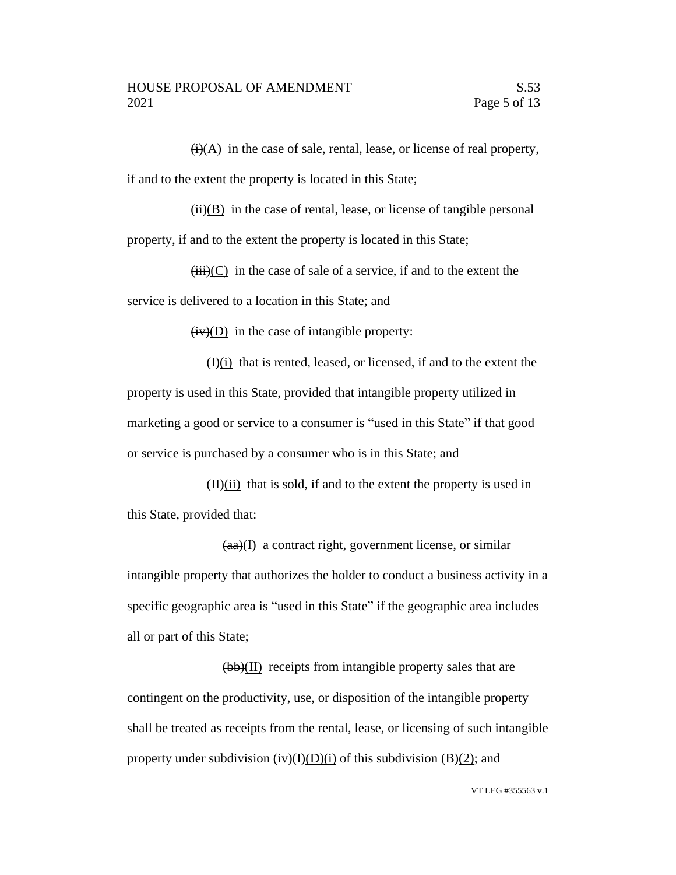$\overline{(i)}$ (A) in the case of sale, rental, lease, or license of real property, if and to the extent the property is located in this State;

 $(ii)(B)$  in the case of rental, lease, or license of tangible personal property, if and to the extent the property is located in this State;

 $(iii)(C)$  in the case of sale of a service, if and to the extent the service is delivered to a location in this State; and

 $(iv)(D)$  in the case of intangible property:

 $(H)(i)$  that is rented, leased, or licensed, if and to the extent the property is used in this State, provided that intangible property utilized in marketing a good or service to a consumer is "used in this State" if that good or service is purchased by a consumer who is in this State; and

 $(H)(ii)$  that is sold, if and to the extent the property is used in this State, provided that:

 $(aa)(I)$  a contract right, government license, or similar intangible property that authorizes the holder to conduct a business activity in a specific geographic area is "used in this State" if the geographic area includes all or part of this State;

(bb)(II) receipts from intangible property sales that are contingent on the productivity, use, or disposition of the intangible property shall be treated as receipts from the rental, lease, or licensing of such intangible property under subdivision  $\overline{(iv)(I)(I)}$  of this subdivision  $\overline{(B)(2)}$ ; and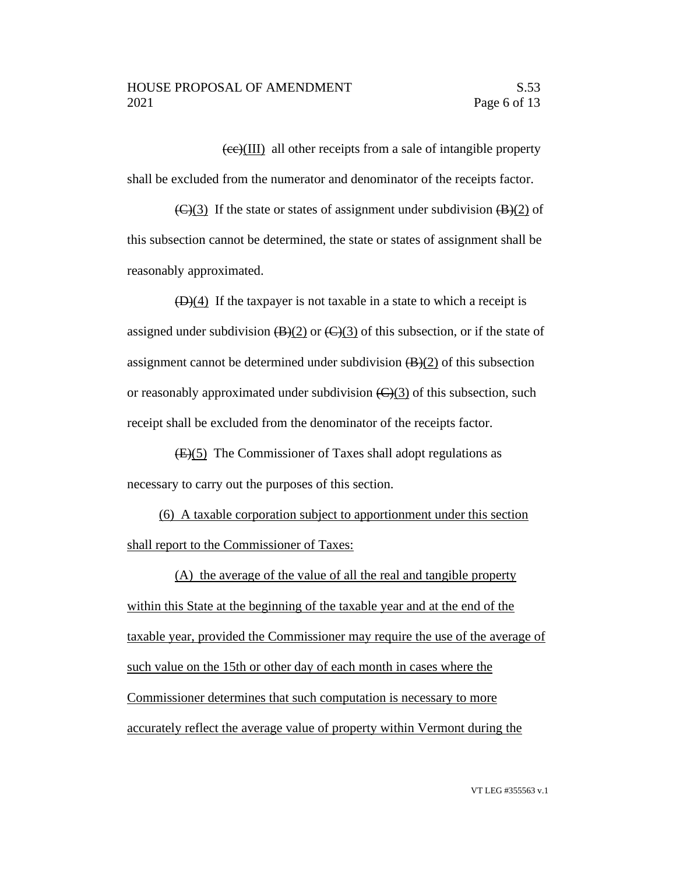$\sqrt{(ee)(III)}$  all other receipts from a sale of intangible property shall be excluded from the numerator and denominator of the receipts factor.

 $\left(\frac{C}{3}\right)$  If the state or states of assignment under subdivision  $\left(\frac{B}{2}\right)$  of this subsection cannot be determined, the state or states of assignment shall be reasonably approximated.

 $(D)(4)$  If the taxpayer is not taxable in a state to which a receipt is assigned under subdivision  $(B)(2)$  or  $(C)(3)$  of this subsection, or if the state of assignment cannot be determined under subdivision  $(B)(2)$  of this subsection or reasonably approximated under subdivision  $\left(\frac{C}{3}\right)$  of this subsection, such receipt shall be excluded from the denominator of the receipts factor.

(E)(5) The Commissioner of Taxes shall adopt regulations as necessary to carry out the purposes of this section.

(6) A taxable corporation subject to apportionment under this section shall report to the Commissioner of Taxes:

(A) the average of the value of all the real and tangible property within this State at the beginning of the taxable year and at the end of the taxable year, provided the Commissioner may require the use of the average of such value on the 15th or other day of each month in cases where the Commissioner determines that such computation is necessary to more accurately reflect the average value of property within Vermont during the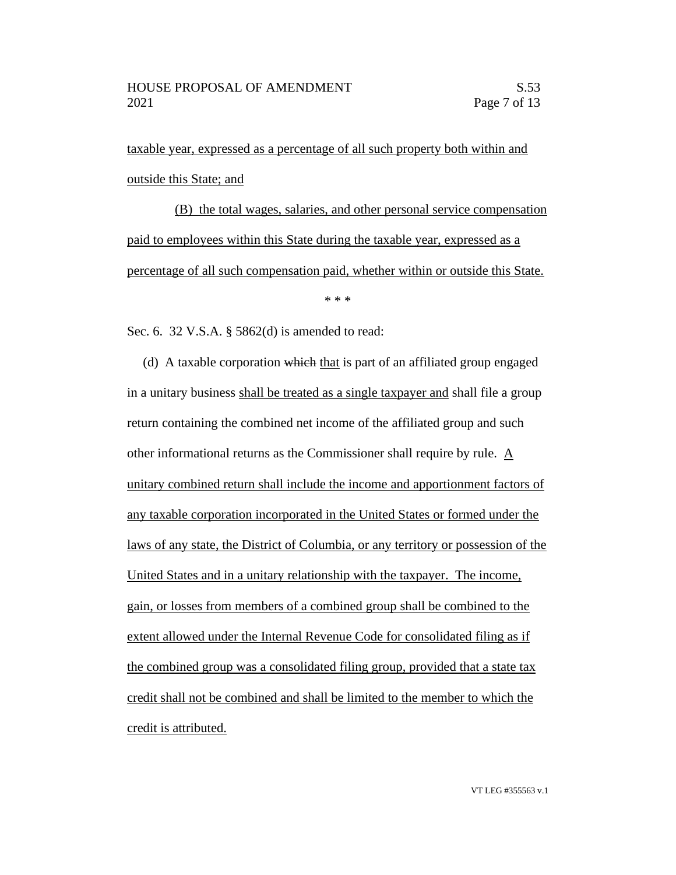taxable year, expressed as a percentage of all such property both within and outside this State; and

(B) the total wages, salaries, and other personal service compensation paid to employees within this State during the taxable year, expressed as a percentage of all such compensation paid, whether within or outside this State.

\* \* \*

Sec. 6. 32 V.S.A. § 5862(d) is amended to read:

(d) A taxable corporation which that is part of an affiliated group engaged in a unitary business shall be treated as a single taxpayer and shall file a group return containing the combined net income of the affiliated group and such other informational returns as the Commissioner shall require by rule. A unitary combined return shall include the income and apportionment factors of any taxable corporation incorporated in the United States or formed under the laws of any state, the District of Columbia, or any territory or possession of the United States and in a unitary relationship with the taxpayer. The income, gain, or losses from members of a combined group shall be combined to the extent allowed under the Internal Revenue Code for consolidated filing as if the combined group was a consolidated filing group, provided that a state tax credit shall not be combined and shall be limited to the member to which the credit is attributed.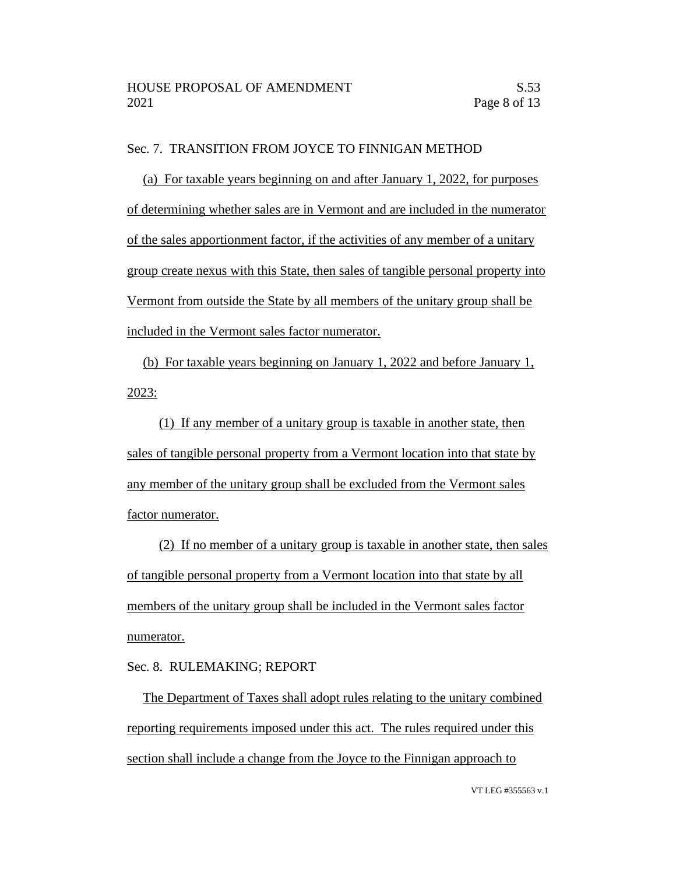### Sec. 7. TRANSITION FROM JOYCE TO FINNIGAN METHOD

(a) For taxable years beginning on and after January 1, 2022, for purposes of determining whether sales are in Vermont and are included in the numerator of the sales apportionment factor, if the activities of any member of a unitary group create nexus with this State, then sales of tangible personal property into Vermont from outside the State by all members of the unitary group shall be included in the Vermont sales factor numerator.

(b) For taxable years beginning on January 1, 2022 and before January 1, 2023:

(1) If any member of a unitary group is taxable in another state, then sales of tangible personal property from a Vermont location into that state by any member of the unitary group shall be excluded from the Vermont sales factor numerator.

(2) If no member of a unitary group is taxable in another state, then sales of tangible personal property from a Vermont location into that state by all members of the unitary group shall be included in the Vermont sales factor numerator.

## Sec. 8. RULEMAKING; REPORT

The Department of Taxes shall adopt rules relating to the unitary combined reporting requirements imposed under this act. The rules required under this section shall include a change from the Joyce to the Finnigan approach to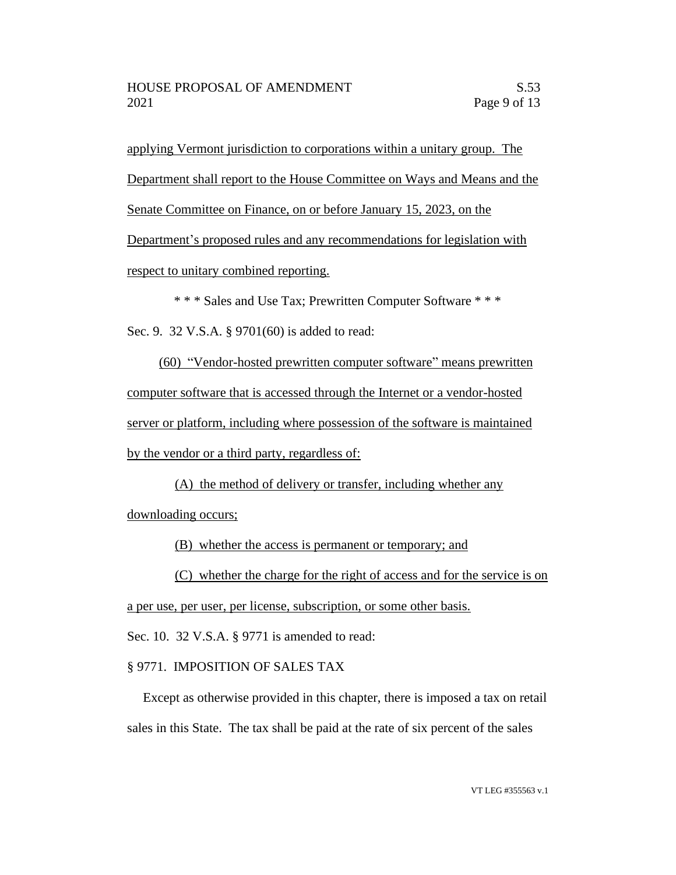applying Vermont jurisdiction to corporations within a unitary group. The Department shall report to the House Committee on Ways and Means and the Senate Committee on Finance, on or before January 15, 2023, on the Department's proposed rules and any recommendations for legislation with

respect to unitary combined reporting.

\* \* \* Sales and Use Tax; Prewritten Computer Software \* \* \*

Sec. 9. 32 V.S.A. § 9701(60) is added to read:

(60) "Vendor-hosted prewritten computer software" means prewritten computer software that is accessed through the Internet or a vendor-hosted server or platform, including where possession of the software is maintained by the vendor or a third party, regardless of:

(A) the method of delivery or transfer, including whether any downloading occurs;

(B) whether the access is permanent or temporary; and

(C) whether the charge for the right of access and for the service is on

a per use, per user, per license, subscription, or some other basis.

Sec. 10. 32 V.S.A. § 9771 is amended to read:

## § 9771. IMPOSITION OF SALES TAX

Except as otherwise provided in this chapter, there is imposed a tax on retail sales in this State. The tax shall be paid at the rate of six percent of the sales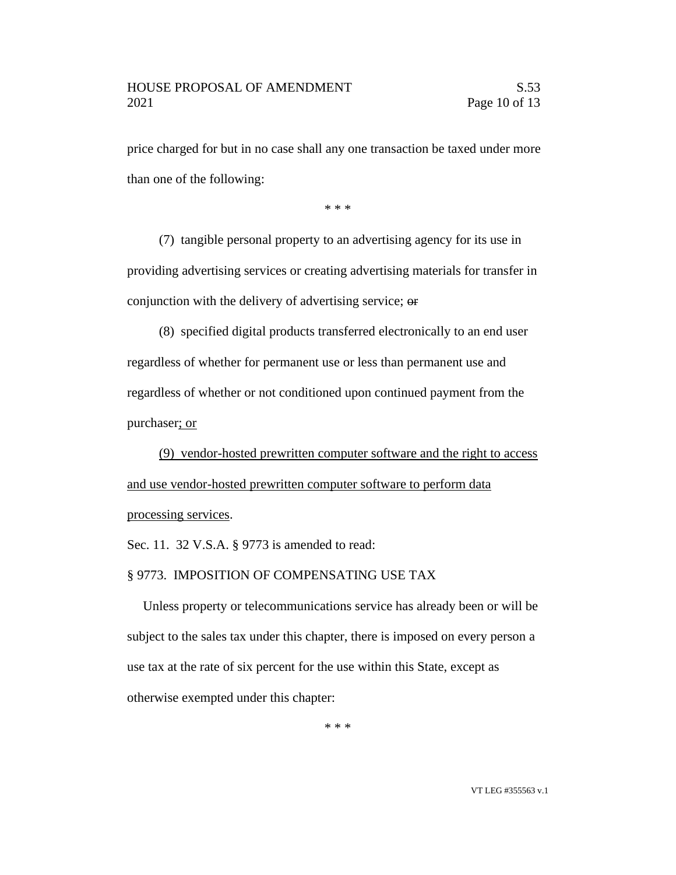price charged for but in no case shall any one transaction be taxed under more than one of the following:

\* \* \*

(7) tangible personal property to an advertising agency for its use in providing advertising services or creating advertising materials for transfer in conjunction with the delivery of advertising service; or

(8) specified digital products transferred electronically to an end user regardless of whether for permanent use or less than permanent use and regardless of whether or not conditioned upon continued payment from the purchaser; or

(9) vendor-hosted prewritten computer software and the right to access and use vendor-hosted prewritten computer software to perform data processing services.

Sec. 11. 32 V.S.A. § 9773 is amended to read:

#### § 9773. IMPOSITION OF COMPENSATING USE TAX

Unless property or telecommunications service has already been or will be subject to the sales tax under this chapter, there is imposed on every person a use tax at the rate of six percent for the use within this State, except as otherwise exempted under this chapter:

\* \* \*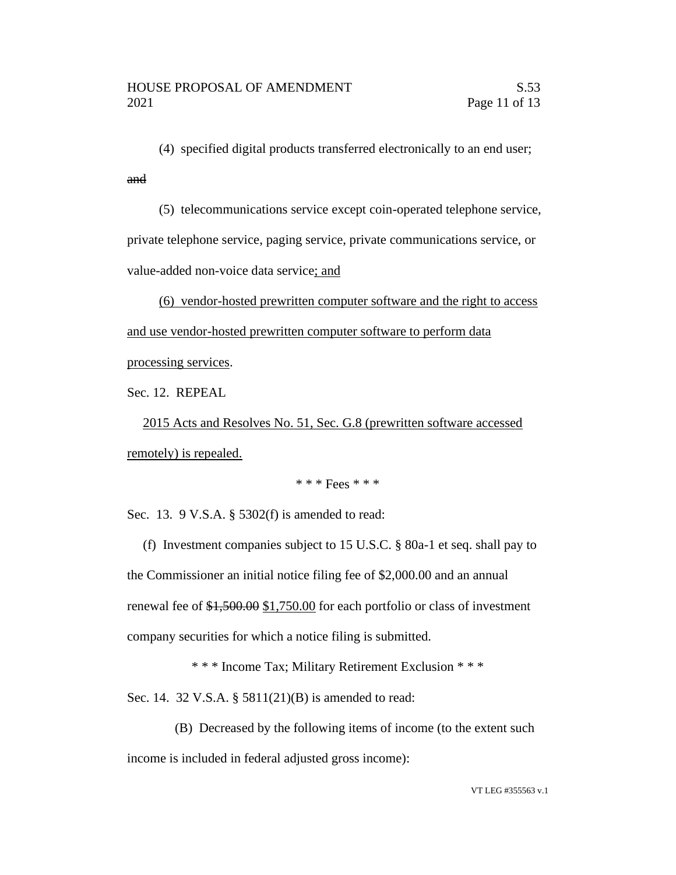(4) specified digital products transferred electronically to an end user; and

(5) telecommunications service except coin-operated telephone service, private telephone service, paging service, private communications service, or value-added non-voice data service; and

(6) vendor-hosted prewritten computer software and the right to access and use vendor-hosted prewritten computer software to perform data processing services.

Sec. 12. REPEAL

2015 Acts and Resolves No. 51, Sec. G.8 (prewritten software accessed remotely) is repealed.

## \* \* \* Fees \* \* \*

Sec. 13. 9 V.S.A. § 5302(f) is amended to read:

(f) Investment companies subject to 15 U.S.C. § 80a-1 et seq. shall pay to the Commissioner an initial notice filing fee of \$2,000.00 and an annual renewal fee of \$1,500.00 \$1,750.00 for each portfolio or class of investment company securities for which a notice filing is submitted.

\* \* \* Income Tax; Military Retirement Exclusion \* \* \*

Sec. 14. 32 V.S.A. § 5811(21)(B) is amended to read:

(B) Decreased by the following items of income (to the extent such income is included in federal adjusted gross income):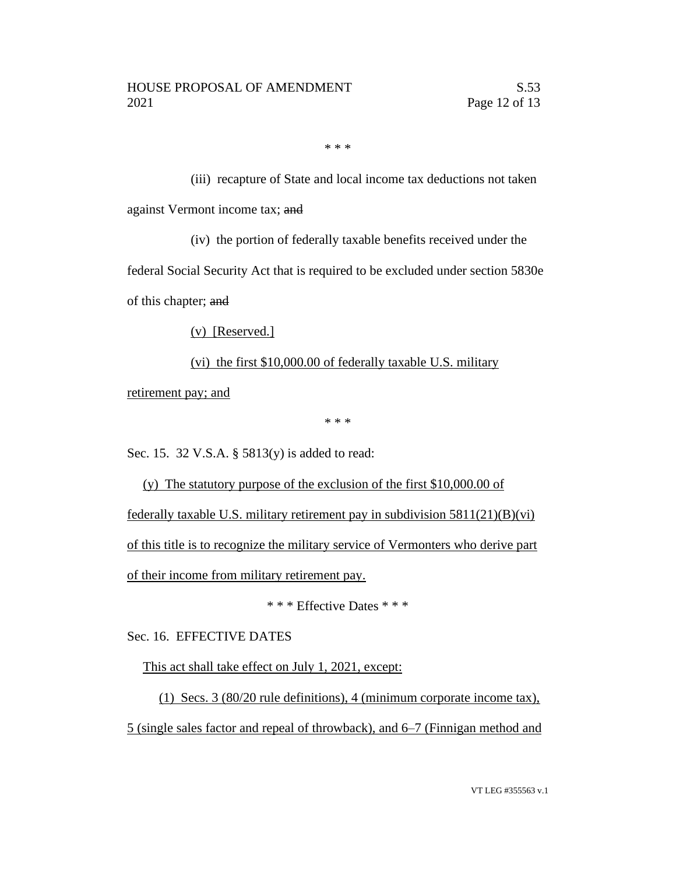\* \* \*

(iii) recapture of State and local income tax deductions not taken against Vermont income tax; and

(iv) the portion of federally taxable benefits received under the

federal Social Security Act that is required to be excluded under section 5830e of this chapter; and

(v) [Reserved.]

# (vi) the first \$10,000.00 of federally taxable U.S. military

retirement pay; and

\* \* \*

Sec. 15. 32 V.S.A. § 5813(y) is added to read:

(y) The statutory purpose of the exclusion of the first \$10,000.00 of federally taxable U.S. military retirement pay in subdivision 5811(21)(B)(vi) of this title is to recognize the military service of Vermonters who derive part of their income from military retirement pay.

\* \* \* Effective Dates \* \* \*

Sec. 16. EFFECTIVE DATES

This act shall take effect on July 1, 2021, except:

(1) Secs. 3 (80/20 rule definitions), 4 (minimum corporate income tax), 5 (single sales factor and repeal of throwback), and 6–7 (Finnigan method and